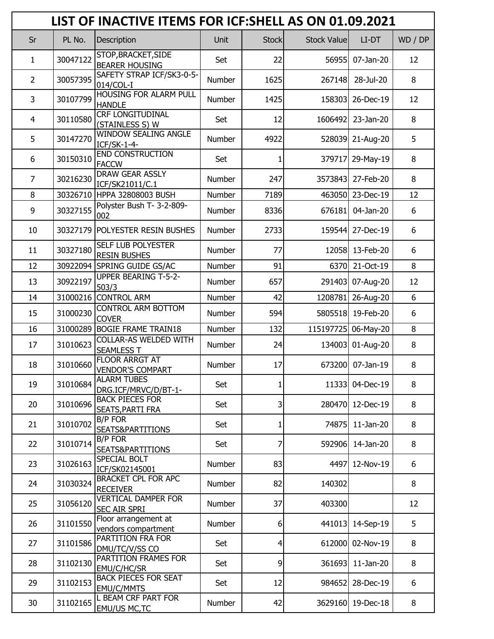|                |          | LIST OF INACTIVE ITEMS FOR ICF: SHELL AS ON 01.09.2021 |        |                |                     |                     |         |
|----------------|----------|--------------------------------------------------------|--------|----------------|---------------------|---------------------|---------|
| Sr             | PL No.   | Description                                            | Unit   | <b>Stock</b>   | <b>Stock Valuel</b> | LI-DT               | WD / DP |
| 1              | 30047122 | STOP, BRACKET, SIDE<br><b>BEARER HOUSING</b>           | Set    | 22             | 56955               | 07-Jan-20           | 12      |
| $\overline{2}$ | 30057395 | SAFETY STRAP ICF/SK3-0-5-<br>014/COL-I                 | Number | 1625           | 267148              | 28-Jul-20           | 8       |
| 3              | 30107799 | HOUSING FOR ALARM PULL<br><b>HANDLE</b>                | Number | 1425           | 158303              | 26-Dec-19           | 12      |
| 4              | 30110580 | <b>CRF LONGITUDINAL</b><br>(STAINLESS S) W             | Set    | 12             | 1606492             | 23-Jan-20           | 8       |
| 5              | 30147270 | <b>WINDOW SEALING ANGLE</b><br>ICF/SK-1-4-             | Number | 4922           | 528039              | 21-Aug-20           | 5       |
| 6              | 30150310 | <b>END CONSTRUCTION</b><br><b>FACCW</b>                | Set    | 1              |                     | 379717 29-May-19    | 8       |
| $\overline{7}$ | 30216230 | <b>DRAW GEAR ASSLY</b><br>ICF/SK21011/C.1              | Number | 247            | 3573843             | 27-Feb-20           | 8       |
| 8              |          | 30326710 HPPA 32808003 BUSH                            | Number | 7189           |                     | 463050 23-Dec-19    | 12      |
| 9              | 30327155 | Polyster Bush T- 3-2-809-<br>002                       | Number | 8336           | 676181              | 04-Jan-20           | 6       |
| 10             |          | 30327179 POLYESTER RESIN BUSHES                        | Number | 2733           | 159544              | 27-Dec-19           | 6       |
| 11             | 30327180 | <b>SELF LUB POLYESTER</b><br><b>RESIN BUSHES</b>       | Number | 77             | 12058               | 13-Feb-20           | 6       |
| 12             |          | 30922094 SPRING GUIDE GS/AC                            | Number | 91             | 6370                | 21-Oct-19           | 8       |
| 13             | 30922197 | <b>UPPER BEARING T-5-2-</b><br>503/3                   | Number | 657            |                     | 291403 07-Aug-20    | 12      |
| 14             |          | 31000216 CONTROL ARM                                   | Number | 42             | 1208781             | 26-Aug-20           | 6       |
| 15             | 31000230 | <b>CONTROL ARM BOTTOM</b><br><b>COVER</b>              | Number | 594            | 5805518             | 19-Feb-20           | 6       |
| 16             |          | 31000289 BOGIE FRAME TRAIN18                           | Number | 132            |                     | 115197725 06-May-20 | 8       |
| 17             | 31010623 | COLLAR-AS WELDED WITH<br><b>SEAMLESS T</b>             | Number | 24             | 134003              | 01-Aug-20           | 8       |
| 18             | 31010660 | FLOOR ARRGT AT<br><b>VENDOR'S COMPART</b>              | Number | 17             | 673200              | 07-Jan-19           | 8       |
| 19             | 31010684 | <b>ALARM TUBES</b><br>DRG.ICF/MRVC/D/BT-1-             | Set    | 1              | 11333               | 04-Dec-19           | 8       |
| 20             | 31010696 | <b>BACK PIECES FOR</b><br><b>SEATS, PARTI FRA</b>      | Set    | 3              | 280470              | 12-Dec-19           | 8       |
| 21             | 31010702 | <b>B/P FOR</b><br>SEATS&PARTITIONS                     | Set    | 1              | 74875               | 11-Jan-20           | 8       |
| 22             | 31010714 | <b>B/P FOR</b><br>SEATS&PARTITIONS                     | Set    | 7              | 592906              | 14-Jan-20           | 8       |
| 23             | 31026163 | SPECIAL BOLT<br>ICF/SK02145001                         | Number | 83             | 4497                | 12-Nov-19           | 6       |
| 24             | 31030324 | <b>BRACKET CPL FOR APC</b><br><b>RECEIVER</b>          | Number | 82             | 140302              |                     | 8       |
| 25             | 31056120 | <b>VERTICAL DAMPER FOR</b><br><b>SEC AIR SPRI</b>      | Number | 37             | 403300              |                     | 12      |
| 26             | 31101550 | Floor arrangement at<br>vendors compartment            | Number | 6              | 441013              | 14-Sep-19           | 5       |
| 27             | 31101586 | PARTITION FRA FOR<br>DMU/TC/V/SS CO                    | Set    | $\overline{4}$ | 612000              | 02-Nov-19           | 8       |
| 28             | 31102130 | PARTITION FRAMES FOR<br>EMU/C/HC/SR                    | Set    | 9              | 361693              | $11$ -Jan-20        | 8       |
| 29             | 31102153 | <b>BACK PIECES FOR SEAT</b><br><b>EMU/C/MMTS</b>       | Set    | 12             | 984652              | 28-Dec-19           | 6       |
| 30             | 31102165 | L BEAM CRF PART FOR<br><b>EMU/US MC,TC</b>             | Number | 42             |                     | 3629160 19-Dec-18   | 8       |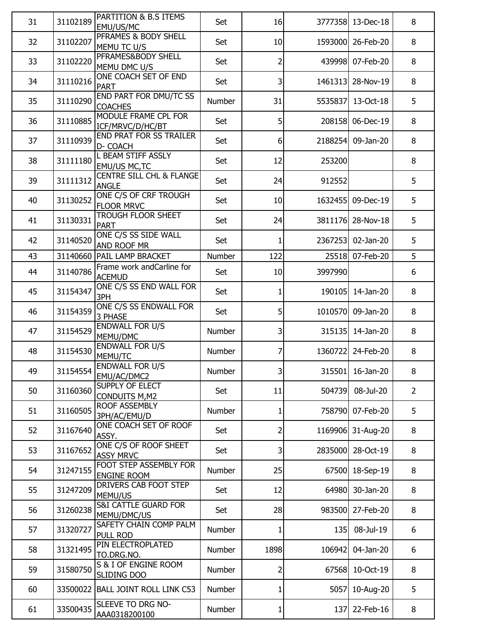| 31 | 31102189 | PARTITION & B.S ITEMS<br>EMU/US/MC                         | Set    | 16                      | 3777358 | 13-Dec-18         | 8              |
|----|----------|------------------------------------------------------------|--------|-------------------------|---------|-------------------|----------------|
| 32 | 31102207 | PFRAMES & BODY SHELL<br>MEMU TC U/S                        | Set    | 10                      | 1593000 | 26-Feb-20         | 8              |
| 33 | 31102220 | PFRAMES&BODY SHELL<br>MEMU DMC U/S                         | Set    | 2                       | 439998  | 07-Feb-20         | 8              |
| 34 | 31110216 | ONE COACH SET OF END<br><b>PART</b>                        | Set    | 3                       | 1461313 | 28-Nov-19         | 8              |
| 35 | 31110290 | END PART FOR DMU/TC SS<br><b>COACHES</b>                   | Number | 31                      | 5535837 | 13-Oct-18         | 5              |
| 36 | 31110885 | <b>MODULE FRAME CPL FOR</b>                                | Set    | 5                       | 208158  | 06-Dec-19         | 8              |
| 37 | 31110939 | ICF/MRVC/D/HC/BT<br><b>END PRAT FOR SS TRAILER</b>         | Set    | 6                       | 2188254 | 09-Jan-20         | 8              |
| 38 | 31111180 | D- COACH<br>L BEAM STIFF ASSLY                             | Set    | 12                      | 253200  |                   | 8              |
| 39 | 31111312 | <b>EMU/US MC,TC</b><br><b>CENTRE SILL CHL &amp; FLANGE</b> | Set    | 24                      | 912552  |                   | 5              |
| 40 | 31130252 | <b>ANGLE</b><br>ONE C/S OF CRF TROUGH                      | Set    | 10                      |         | 1632455 09-Dec-19 | 5              |
| 41 | 31130331 | FLOOR MRVC<br><b>TROUGH FLOOR SHEET</b>                    | Set    | 24                      | 3811176 | 28-Nov-18         | 5              |
| 42 | 31140520 | <b>PART</b><br>ONE C/S SS SIDE WALL                        | Set    | 1                       | 2367253 | 02-Jan-20         | 5              |
| 43 |          | AND ROOF MR<br>31140660 PAIL LAMP BRACKET                  | Number | 122                     | 25518   | 07-Feb-20         | 5              |
| 44 | 31140786 | Frame work andCarline for                                  | Set    | 10                      | 3997990 |                   | 6              |
| 45 | 31154347 | <b>ACEMUD</b><br>ONE C/S SS END WALL FOR                   | Set    | 1                       | 190105  | 14-Jan-20         | 8              |
| 46 | 31154359 | 3PH<br>ONE C/S SS ENDWALL FOR                              | Set    | 5                       | 1010570 | 09-Jan-20         | 8              |
| 47 | 31154529 | 3 PHASE<br>ENDWALL FOR U/S                                 | Number | 3                       | 315135  | 14-Jan-20         | 8              |
| 48 | 31154530 | MEMU/DMC<br><b>ENDWALL FOR U/S</b>                         | Number | 7                       | 1360722 | 24-Feb-20         | 8              |
| 49 | 31154554 | MEMU/TC<br><b>ENDWALL FOR U/S</b>                          | Number | $\overline{\mathsf{3}}$ |         | 315501 16-Jan-20  | 8              |
| 50 | 31160360 | EMU/AC/DMC2<br>SUPPLY OF ELECT                             | Set    | 11                      | 504739  | 08-Jul-20         | $\overline{2}$ |
| 51 | 31160505 | <b>CONDUITS M, M2</b><br>ROOF ASSEMBLY                     | Number | 1                       | 758790  | 07-Feb-20         | 5              |
| 52 | 31167640 | 3PH/AC/EMU/D<br>ONE COACH SET OF ROOF                      | Set    | 2                       | 1169906 | 31-Aug-20         | 8              |
| 53 | 31167652 | ASSY.<br>ONE C/S OF ROOF SHEET                             | Set    | 3                       | 2835000 | 28-Oct-19         | 8              |
|    |          | <b>ASSY MRVC</b><br>FOOT STEP ASSEMBLY FOR                 |        |                         |         |                   |                |
| 54 | 31247155 | <b>ENGINE ROOM</b>                                         | Number | 25                      | 67500   | 18-Sep-19         | 8              |
| 55 | 31247209 | DRIVERS CAB FOOT STEP<br>MEMU/US                           | Set    | 12                      | 64980   | 30-Jan-20         | 8              |
| 56 | 31260238 | <b>S&amp;I CATTLE GUARD FOR</b><br>MEMU/DMC/US             | Set    | 28                      | 983500  | 27-Feb-20         | 8              |
| 57 | 31320727 | SAFETY CHAIN COMP PALM<br><b>PULL ROD</b>                  | Number | 1                       | 135     | 08-Jul-19         | 6              |
| 58 | 31321495 | PIN ELECTROPLATED<br>TO.DRG.NO.                            | Number | 1898                    | 106942  | 04-Jan-20         | 6              |
| 59 | 31580750 | S & I OF ENGINE ROOM<br>SLIDING DOO                        | Number | 2                       | 67568   | 10-Oct-19         | 8              |
| 60 |          | 33500022 BALL JOINT ROLL LINK C53                          | Number | 1                       | 5057    | 10-Aug-20         | 5              |
| 61 | 33500435 | SLEEVE TO DRG NO-<br>AAA0318200100                         | Number | 1                       | 137     | 22-Feb-16         | 8              |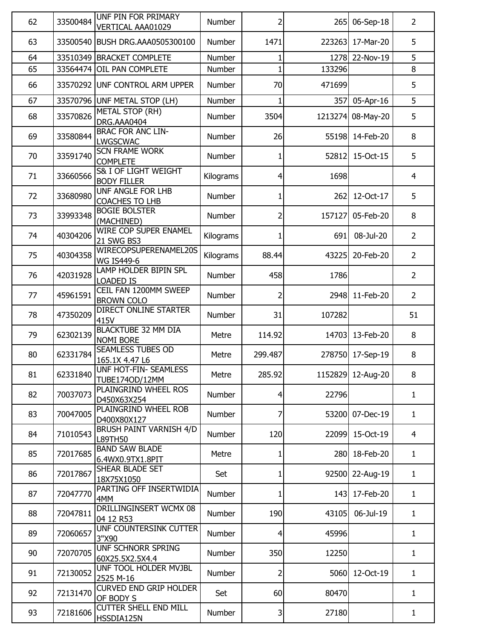| 62 | 33500484 | UNF PIN FOR PRIMARY<br>VERTICAL AAA01029       | Number        | 2            | 265        | 06-Sep-18         | $\overline{2}$ |
|----|----------|------------------------------------------------|---------------|--------------|------------|-------------------|----------------|
| 63 |          | 33500540 BUSH DRG.AAA0505300100                | <b>Number</b> | 1471         | 223263     | 17-Mar-20         | 5              |
| 64 |          | 33510349 BRACKET COMPLETE                      | Number        |              |            | 1278 22-Nov-19    | 5              |
| 65 |          | 33564474 OIL PAN COMPLETE                      | Number        | $\mathbf{1}$ | 133296     |                   | 8              |
| 66 |          | 33570292 UNF CONTROL ARM UPPER                 | <b>Number</b> | 70           | 471699     |                   | 5              |
| 67 |          | 33570796 UNF METAL STOP (LH)                   | Number        | 1            | 357        | 05-Apr-16         | 5              |
| 68 | 33570826 | <b>METAL STOP (RH)</b><br>DRG.AAA0404          | Number        | 3504         |            | 1213274 08-May-20 | 5              |
| 69 | 33580844 | <b>BRAC FOR ANC LIN-</b><br><b>LWGSCWAC</b>    | Number        | 26           | 55198      | 14-Feb-20         | 8              |
| 70 | 33591740 | <b>SCN FRAME WORK</b><br><b>COMPLETE</b>       | Number        | 1            | 52812      | 15-Oct-15         | 5              |
| 71 | 33660566 | S& I OF LIGHT WEIGHT<br><b>BODY FILLER</b>     | Kilograms     | 4            | 1698       |                   | $\overline{4}$ |
| 72 | 33680980 | UNF ANGLE FOR LHB<br><b>COACHES TO LHB</b>     | Number        | 1            | 262        | 12-Oct-17         | 5              |
| 73 | 33993348 | <b>BOGIE BOLSTER</b><br>(MACHINED)             | Number        | 2            | 157127     | 05-Feb-20         | 8              |
| 74 | 40304206 | WIRE COP SUPER ENAMEL<br>21 SWG BS3            | Kilograms     | 1            | 691        | 08-Jul-20         | $\overline{2}$ |
| 75 | 40304358 | WIRECOPSUPERENAMEL20S<br><b>WG IS449-6</b>     | Kilograms     | 88.44        | 43225      | 20-Feb-20         | $\overline{2}$ |
| 76 | 42031928 | LAMP HOLDER BIPIN SPL<br><b>LOADED IS</b>      | Number        | 458          | 1786       |                   | $\overline{2}$ |
| 77 | 45961591 | CEIL FAN 1200MM SWEEP<br><b>BROWN COLO</b>     | Number        | 2            | 2948       | 11-Feb-20         | $\overline{2}$ |
| 78 | 47350209 | <b>DIRECT ONLINE STARTER</b><br>415V           | Number        | 31           | 107282     |                   | 51             |
| 79 | 62302139 | <b>BLACKTUBE 32 MM DIA</b><br><b>NOMI BORE</b> | Metre         | 114.92       |            | 14703 13-Feb-20   | 8              |
| 80 | 62331784 | SEAMLESS TUBES OD<br>165.1X 4.47 L6            | Metre         | 299.487      |            | 278750 17-Sep-19  | 8              |
| 81 | 62331840 | UNF HOT-FIN- SEAMLESS<br><b>TUBE174OD/12MM</b> | Metre         | 285.92       |            | 1152829 12-Aug-20 | 8              |
| 82 | 70037073 | PLAINGRIND WHEEL ROS<br>D450X63X254            | <b>Number</b> | 4            | 22796      |                   | 1              |
| 83 | 70047005 | PLAINGRIND WHEEL ROB<br>D400X80X127            | <b>Number</b> | 7            | 53200      | 07-Dec-19         | $\mathbf{1}$   |
| 84 | 71010543 | <b>BRUSH PAINT VARNISH 4/D</b><br>L89TH50      | Number        | 120          | 22099      | 15-Oct-19         | $\overline{4}$ |
| 85 | 72017685 | <b>BAND SAW BLADE</b><br>6.4WX0.9TX1.8PIT      | Metre         | 1            | <b>280</b> | 18-Feb-20         | $\mathbf{1}$   |
| 86 | 72017867 | SHEAR BLADE SET<br>18X75X1050                  | Set           | 1            |            | 92500 22-Aug-19   | $\mathbf{1}$   |
| 87 | 72047770 | PARTING OFF INSERTWIDIA<br>4MM                 | Number        | 1            | 143        | 17-Feb-20         | $\mathbf{1}$   |
| 88 | 72047811 | <b>DRILLINGINSERT WCMX 08</b><br>04 12 R53     | Number        | 190          | 43105      | 06-Jul-19         | $\mathbf{1}$   |
| 89 | 72060657 | UNF COUNTERSINK CUTTER<br>3"X90                | Number        | 4            | 45996      |                   | $\mathbf{1}$   |
| 90 | 72070705 | UNF SCHNORR SPRING<br>60X25.5X2.5X4.4          | Number        | 350          | 12250      |                   | 1              |
| 91 | 72130052 | UNF TOOL HOLDER MVJBL<br>2525 M-16             | Number        | 2            | 5060       | 12-Oct-19         | $\mathbf{1}$   |
| 92 | 72131470 | <b>CURVED END GRIP HOLDER</b><br>OF BODY S     | Set           | 60           | 80470      |                   | $\mathbf{1}$   |
| 93 | 72181606 | <b>CUTTER SHELL END MILL</b><br>HSSDIA125N     | Number        | 3            | 27180      |                   | $\mathbf{1}$   |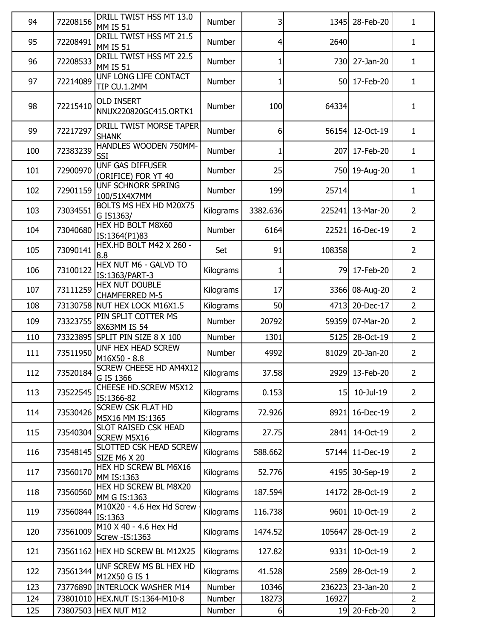| 94  | 72208156 | DRILL TWIST HSS MT 13.0<br><b>MM IS 51</b>     | <b>Number</b> | 3        | 1345   | 28-Feb-20      | $\mathbf{1}$   |
|-----|----------|------------------------------------------------|---------------|----------|--------|----------------|----------------|
| 95  | 72208491 | DRILL TWIST HSS MT 21.5<br><b>MM IS 51</b>     | Number        | 4        | 2640   |                | $\mathbf{1}$   |
| 96  | 72208533 | DRILL TWIST HSS MT 22.5<br><b>MM IS 51</b>     | <b>Number</b> | 1        | 730    | 27-Jan-20      | $\mathbf{1}$   |
| 97  | 72214089 | UNF LONG LIFE CONTACT<br>TIP CU.1.2MM          | <b>Number</b> | 1        | 50     | 17-Feb-20      | $\mathbf{1}$   |
| 98  | 72215410 | <b>OLD INSERT</b><br>NNUX220820GC415.ORTK1     | Number        | 100      | 64334  |                | $\mathbf{1}$   |
| 99  | 72217297 | DRILL TWIST MORSE TAPER<br><b>SHANK</b>        | Number        | 6        | 56154  | 12-Oct-19      | $\mathbf{1}$   |
| 100 | 72383239 | HANDLES WOODEN 750MM-<br>SSI                   | Number        | 1        | 207    | 17-Feb-20      | $\mathbf{1}$   |
| 101 | 72900970 | <b>UNF GAS DIFFUSER</b><br>(ORIFICE) FOR YT 40 | Number        | 25       | 750    | 19-Aug-20      | $\mathbf{1}$   |
| 102 | 72901159 | UNF SCHNORR SPRING<br>100/51X4X7MM             | Number        | 199      | 25714  |                | $\mathbf{1}$   |
| 103 | 73034551 | BOLTS MS HEX HD M20X75<br>G IS1363/            | Kilograms     | 3382.636 | 225241 | 13-Mar-20      | $\overline{2}$ |
| 104 | 73040680 | <b>HEX HD BOLT M8X60</b><br>IS:1364(P1)83      | Number        | 6164     | 22521  | 16-Dec-19      | $\overline{2}$ |
| 105 | 73090141 | HEX.HD BOLT M42 X 260 -<br>8.8                 | Set           | 91       | 108358 |                | $\overline{2}$ |
| 106 | 73100122 | HEX NUT M6 - GALVD TO<br>IS:1363/PART-3        | Kilograms     | 1        | 79     | 17-Feb-20      | $\overline{2}$ |
| 107 | 73111259 | HEX NUT DOUBLE<br><b>CHAMFERRED M-5</b>        | Kilograms     | 17       | 3366   | 08-Aug-20      | $\overline{2}$ |
| 108 |          | 73130758 NUT HEX LOCK M16X1.5                  | Kilograms     | 50       | 4713   | 20-Dec-17      | $\overline{2}$ |
| 109 | 73323755 | PIN SPLIT COTTER MS<br>8X63MM IS 54            | Number        | 20792    | 59359  | 07-Mar-20      | $\overline{2}$ |
| 110 |          | 73323895 SPLIT PIN SIZE 8 X 100                | Number        | 1301     | 5125   | 28-Oct-19      | $\overline{2}$ |
| 111 | 73511950 | UNF HEX HEAD SCREW<br>M16X50 - 8.8             | Number        | 4992     | 81029  | 20-Jan-20      | $\overline{2}$ |
| 112 | 73520184 | <b>SCREW CHEESE HD AM4X12</b><br>G IS 1366     | Kilograms     | 37.58    |        | 2929 13-Feb-20 | $\overline{2}$ |
| 113 | 73522545 | <b>CHEESE HD.SCREW M5X12</b><br>IS:1366-82     | Kilograms     | 0.153    | 15     | 10-Jul-19      | $\overline{2}$ |
| 114 | 73530426 | <b>SCREW CSK FLAT HD</b><br>M5X16 MM IS:1365   | Kilograms     | 72.926   | 8921   | 16-Dec-19      | $\overline{2}$ |
| 115 | 73540304 | SLOT RAISED CSK HEAD<br><b>SCREW M5X16</b>     | Kilograms     | 27.75    | 2841   | 14-Oct-19      | $\overline{2}$ |
| 116 | 73548145 | SLOTTED CSK HEAD SCREW<br><b>SIZE M6 X 20</b>  | Kilograms     | 588.662  | 57144  | 11-Dec-19      | $\overline{2}$ |
| 117 | 73560170 | HEX HD SCREW BL M6X16<br>MM IS:1363            | Kilograms     | 52.776   | 4195   | 30-Sep-19      | $\overline{2}$ |
| 118 | 73560560 | HEX HD SCREW BL M8X20<br>MM G IS:1363          | Kilograms     | 187.594  | 14172  | 28-Oct-19      | $\overline{2}$ |
| 119 | 73560844 | M10X20 - 4.6 Hex Hd Screw<br>IS:1363           | Kilograms     | 116.738  | 9601   | 10-Oct-19      | $\overline{2}$ |
| 120 | 73561009 | M10 X 40 - 4.6 Hex Hd<br>Screw - IS: 1363      | Kilograms     | 1474.52  | 105647 | 28-Oct-19      | $\overline{2}$ |
| 121 |          | 73561162 HEX HD SCREW BL M12X25                | Kilograms     | 127.82   | 9331   | 10-Oct-19      | $\overline{2}$ |
| 122 | 73561344 | UNF SCREW MS BL HEX HD<br>M12X50 G IS 1        | Kilograms     | 41.528   | 2589   | 28-Oct-19      | $\overline{2}$ |
| 123 |          | 73776890 INTERLOCK WASHER M14                  | Number        | 10346    | 236223 | 23-Jan-20      | $\overline{2}$ |
| 124 |          | 73801010 HEX.NUT IS:1364-M10-8                 | Number        | 18273    | 16927  |                | $\overline{2}$ |
| 125 |          | 73807503 HEX NUT M12                           | Number        | 6        | 19     | 20-Feb-20      | $\overline{2}$ |
|     |          |                                                |               |          |        |                |                |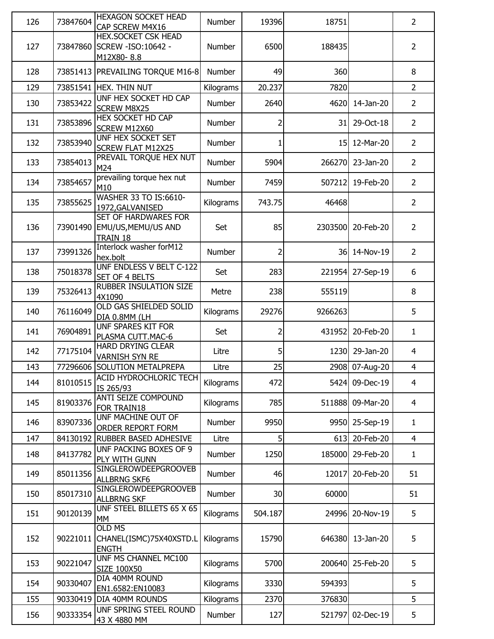| 126 | 73847604 | <b>HEXAGON SOCKET HEAD</b><br>CAP SCREW M4X16                             | <b>Number</b> | 19396   | 18751   |                | $\overline{2}$ |
|-----|----------|---------------------------------------------------------------------------|---------------|---------|---------|----------------|----------------|
| 127 |          | <b>HEX.SOCKET CSK HEAD</b><br>73847860 SCREW - ISO: 10642 -<br>M12X80-8.8 | Number        | 6500    | 188435  |                | $\overline{2}$ |
| 128 | 73851413 | <b>PREVAILING TORQUE M16-8</b>                                            | Number        | 49      | 360     |                | 8              |
| 129 | 73851541 | <b>HEX. THIN NUT</b>                                                      | Kilograms     | 20.237  | 7820    |                | $\overline{2}$ |
| 130 | 73853422 | UNF HEX SOCKET HD CAP<br><b>SCREW M8X25</b>                               | Number        | 2640    | 4620    | 14-Jan-20      | $\overline{2}$ |
| 131 | 73853896 | <b>HEX SOCKET HD CAP</b><br>SCREW M12X60                                  | Number        | 2       | 31      | 29-Oct-18      | $\overline{2}$ |
| 132 | 73853940 | UNF HEX SOCKET SET<br><b>SCREW FLAT M12X25</b>                            | Number        |         |         | 15 12-Mar-20   | $\overline{2}$ |
| 133 | 73854013 | PREVAIL TORQUE HEX NUT<br>M24                                             | Number        | 5904    | 266270  | 23-Jan-20      | $\overline{2}$ |
| 134 | 73854657 | prevailing torque hex nut<br>M10                                          | Number        | 7459    | 507212  | 19-Feb-20      | $\overline{2}$ |
| 135 | 73855625 | WASHER 33 TO IS:6610-<br>1972, GALVANISED                                 | Kilograms     | 743.75  | 46468   |                | $\overline{2}$ |
| 136 |          | SET OF HARDWARES FOR<br>73901490 EMU/US, MEMU/US AND<br><b>TRAIN 18</b>   | Set           | 85      | 2303500 | 20-Feb-20      | $\overline{2}$ |
| 137 | 73991326 | Interlock washer forM12<br>hex.bolt                                       | Number        | 2       | 36      | 14-Nov-19      | $\overline{2}$ |
| 138 | 75018378 | UNF ENDLESS V BELT C-122<br>SET OF 4 BELTS                                | Set           | 283     | 221954  | 27-Sep-19      | 6              |
| 139 | 75326413 | <b>RUBBER INSULATION SIZE</b><br>4X1090                                   | Metre         | 238     | 555119  |                | 8              |
| 140 | 76116049 | OLD GAS SHIELDED SOLID<br>DIA 0.8MM (LH                                   | Kilograms     | 29276   | 9266263 |                | 5              |
| 141 | 76904891 | <b>UNF SPARES KIT FOR</b><br>PLASMA CUTT.MAC-6                            | Set           | 2       | 431952  | 20-Feb-20      | $\mathbf{1}$   |
| 142 | 77175104 | <b>HARD DRYING CLEAR</b><br><b>VARNISH SYN RE</b>                         | Litre         | 5       | 1230    | 29-Jan-20      | $\overline{4}$ |
| 143 | 77296606 | <b>SOLUTION METALPREPA</b>                                                | Litre         | 25      |         | 2908 07-Aug-20 | $\overline{4}$ |
| 144 | 81010515 | <b>ACID HYDROCHLORIC TECH</b><br>IS 265/93                                | Kilograms     | 472     | 5424    | 09-Dec-19      | $\overline{4}$ |
| 145 | 81903376 | ANTI SEIZE COMPOUND<br>FOR TRAIN18                                        | Kilograms     | 785     | 511888  | 09-Mar-20      | $\overline{4}$ |
| 146 | 83907336 | UNF MACHINE OUT OF<br><b>ORDER REPORT FORM</b>                            | Number        | 9950    | 9950    | 25-Sep-19      | $\mathbf{1}$   |
| 147 | 84130192 | <b>RUBBER BASED ADHESIVE</b>                                              | Litre         | 5       | 613     | 20-Feb-20      | $\overline{4}$ |
| 148 | 84137782 | UNF PACKING BOXES OF 9<br>PLY WITH GUNN                                   | Number        | 1250    | 185000  | 29-Feb-20      | $\mathbf{1}$   |
| 149 | 85011356 | <b>SINGLEROWDEEPGROOVEB</b><br><b>ALLBRNG SKF6</b>                        | Number        | 46      | 12017   | 20-Feb-20      | 51             |
| 150 | 85017310 | <b>SINGLEROWDEEPGROOVEB</b><br><b>ALLBRNG SKF</b>                         | Number        | 30      | 60000   |                | 51             |
| 151 | 90120139 | UNF STEEL BILLETS 65 X 65<br><b>MM</b>                                    | Kilograms     | 504.187 | 24996   | 20-Nov-19      | 5              |
| 152 | 90221011 | <b>OLD MS</b><br>CHANEL(ISMC)75X40XSTD.L<br><b>ENGTH</b>                  | Kilograms     | 15790   | 646380  | 13-Jan-20      | 5              |
| 153 | 90221047 | UNF MS CHANNEL MC100<br>SIZE 100X50                                       | Kilograms     | 5700    | 200640  | 25-Feb-20      | 5              |
| 154 | 90330407 | DIA 40MM ROUND<br>EN1.6582:EN10083                                        | Kilograms     | 3330    | 594393  |                | 5              |
| 155 | 90330419 | DIA 40MM ROUNDS                                                           | Kilograms     | 2370    | 376830  |                | 5              |
| 156 | 90333354 | <b>UNF SPRING STEEL ROUND</b><br>43 X 4880 MM                             | Number        | 127     | 521797  | 02-Dec-19      | 5              |